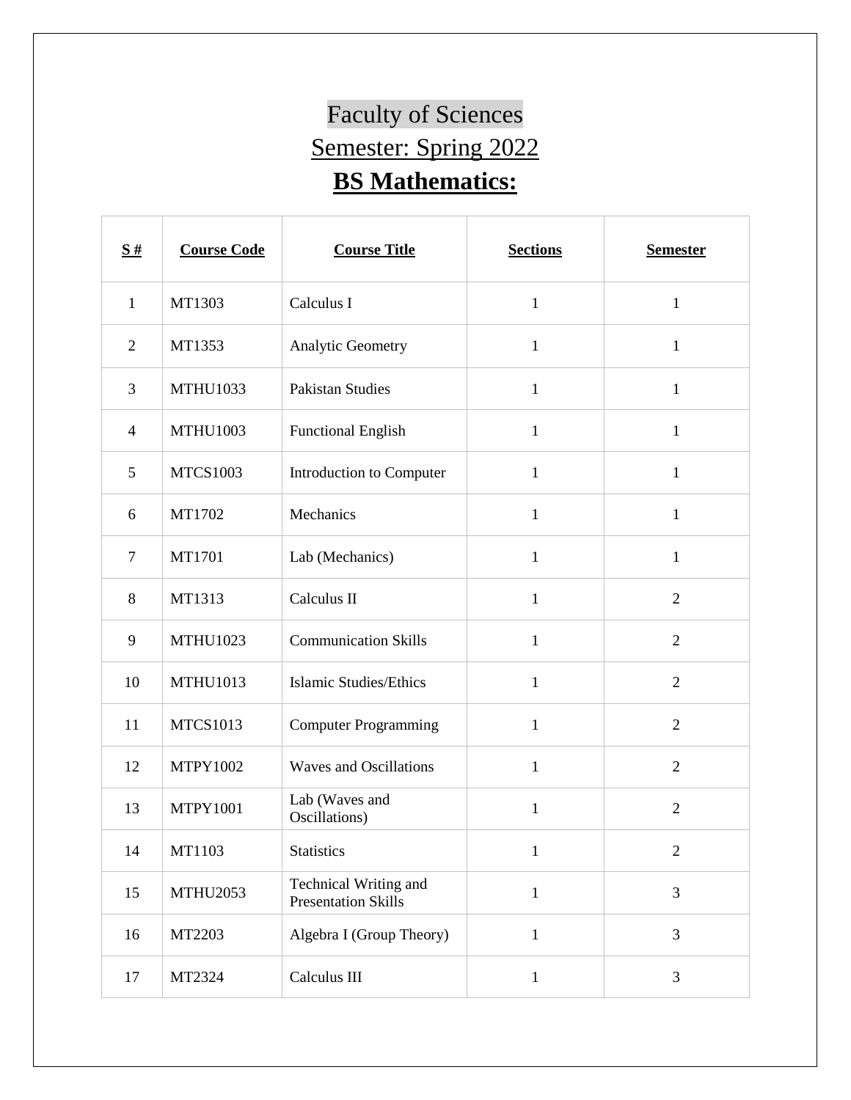## Faculty of Sciences Semester: Spring 2022 **BS Mathematics:**

| $\frac{S#}{4}$ | <b>Course Code</b> | <b>Course Title</b>                                 | <b>Sections</b> | <b>Semester</b> |
|----------------|--------------------|-----------------------------------------------------|-----------------|-----------------|
| $\mathbf{1}$   | MT1303             | Calculus I                                          | $\mathbf{1}$    | $\mathbf{1}$    |
| $\mathfrak{2}$ | MT1353             | Analytic Geometry                                   | $\mathbf{1}$    | $\mathbf{1}$    |
| 3              | <b>MTHU1033</b>    | <b>Pakistan Studies</b>                             | $\mathbf{1}$    | $\mathbf{1}$    |
| $\overline{4}$ | <b>MTHU1003</b>    | <b>Functional English</b>                           | $\mathbf{1}$    | $\mathbf{1}$    |
| 5              | <b>MTCS1003</b>    | Introduction to Computer                            | $\mathbf{1}$    | $\mathbf{1}$    |
| 6              | MT1702             | Mechanics                                           | $\mathbf{1}$    | $\mathbf{1}$    |
| $\tau$         | MT1701             | Lab (Mechanics)                                     | $\mathbf{1}$    | $\mathbf{1}$    |
| 8              | MT1313             | Calculus II                                         | $\mathbf{1}$    | $\overline{2}$  |
| 9              | <b>MTHU1023</b>    | <b>Communication Skills</b>                         | $\mathbf{1}$    | $\overline{2}$  |
| 10             | <b>MTHU1013</b>    | <b>Islamic Studies/Ethics</b>                       | $\mathbf{1}$    | $\overline{2}$  |
| 11             | <b>MTCS1013</b>    | <b>Computer Programming</b>                         | $\mathbf{1}$    | $\overline{2}$  |
| 12             | <b>MTPY1002</b>    | <b>Waves and Oscillations</b>                       | $\mathbf{1}$    | $\overline{2}$  |
| 13             | <b>MTPY1001</b>    | Lab (Waves and<br>Oscillations)                     | $\mathbf{1}$    | $\overline{2}$  |
| 14             | MT1103             | <b>Statistics</b>                                   | $\mathbf{1}$    | $\overline{c}$  |
| 15             | <b>MTHU2053</b>    | Technical Writing and<br><b>Presentation Skills</b> | $1\,$           | 3               |
| 16             | MT2203             | Algebra I (Group Theory)                            | $1\,$           | 3               |
| 17             | MT2324             | Calculus III                                        | $\mathbf{1}$    | 3               |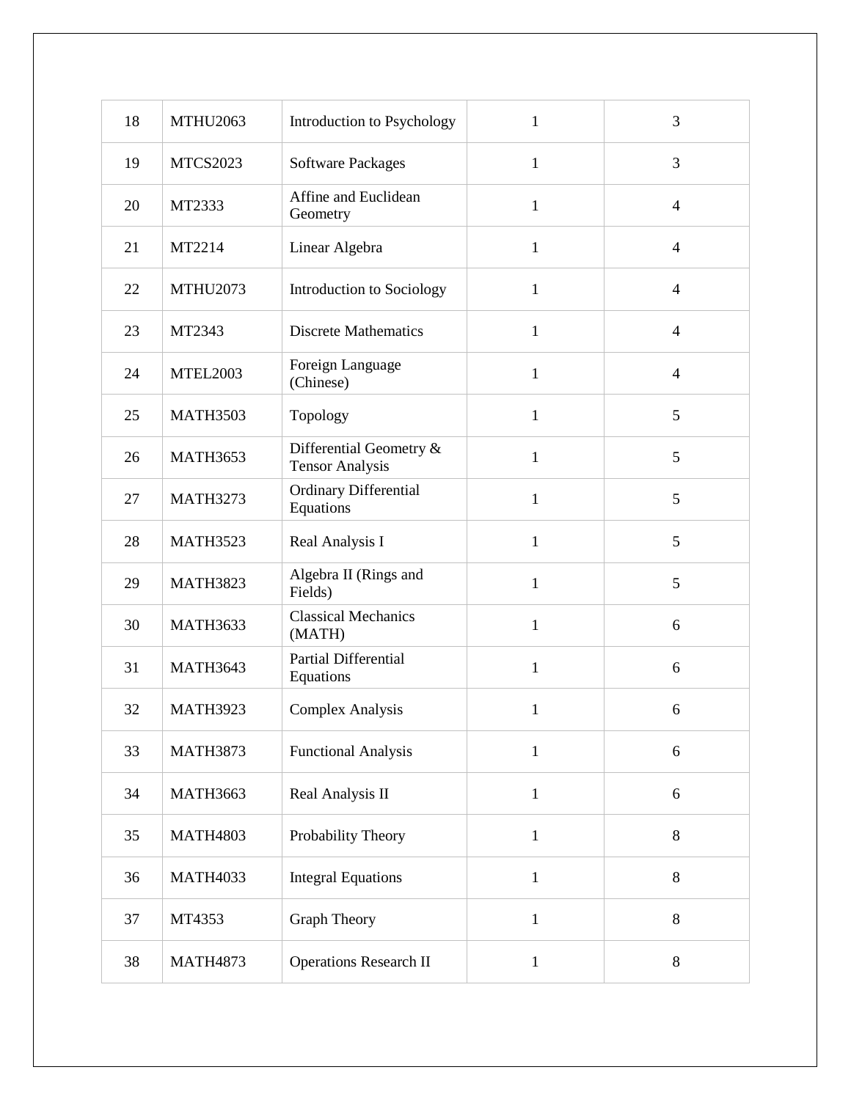| 18 | <b>MTHU2063</b> | Introduction to Psychology                        | $\mathbf{1}$ | 3              |
|----|-----------------|---------------------------------------------------|--------------|----------------|
| 19 | <b>MTCS2023</b> | <b>Software Packages</b>                          | $\mathbf{1}$ | 3              |
| 20 | MT2333          | Affine and Euclidean<br>Geometry                  | $\mathbf{1}$ | $\overline{4}$ |
| 21 | MT2214          | Linear Algebra                                    | $\mathbf{1}$ | $\overline{4}$ |
| 22 | <b>MTHU2073</b> | Introduction to Sociology                         | $\mathbf{1}$ | $\overline{4}$ |
| 23 | MT2343          | <b>Discrete Mathematics</b>                       | $\mathbf{1}$ | $\overline{4}$ |
| 24 | <b>MTEL2003</b> | Foreign Language<br>(Chinese)                     | $\mathbf{1}$ | $\overline{4}$ |
| 25 | <b>MATH3503</b> | Topology                                          | $\mathbf{1}$ | 5              |
| 26 | <b>MATH3653</b> | Differential Geometry &<br><b>Tensor Analysis</b> | $\mathbf{1}$ | 5              |
| 27 | <b>MATH3273</b> | Ordinary Differential<br>Equations                | $\mathbf{1}$ | 5              |
| 28 | <b>MATH3523</b> | Real Analysis I                                   | $\mathbf{1}$ | 5              |
| 29 | <b>MATH3823</b> | Algebra II (Rings and<br>Fields)                  | $\mathbf{1}$ | 5              |
| 30 | <b>MATH3633</b> | <b>Classical Mechanics</b><br>(MATH)              | $\mathbf{1}$ | 6              |
| 31 | <b>MATH3643</b> | <b>Partial Differential</b><br>Equations          | $\mathbf{1}$ | 6              |
| 32 | <b>MATH3923</b> | <b>Complex Analysis</b>                           | $\mathbf{1}$ | 6              |
| 33 | <b>MATH3873</b> | <b>Functional Analysis</b>                        | $\mathbf{1}$ | 6              |
| 34 | <b>MATH3663</b> | Real Analysis II                                  | $\mathbf{1}$ | 6              |
| 35 | <b>MATH4803</b> | Probability Theory                                | $\mathbf{1}$ | 8              |
| 36 | <b>MATH4033</b> | <b>Integral Equations</b>                         | $\mathbf{1}$ | 8              |
| 37 | MT4353          | <b>Graph Theory</b>                               | $\mathbf{1}$ | 8              |
| 38 | <b>MATH4873</b> | <b>Operations Research II</b>                     | $\mathbf{1}$ | 8              |